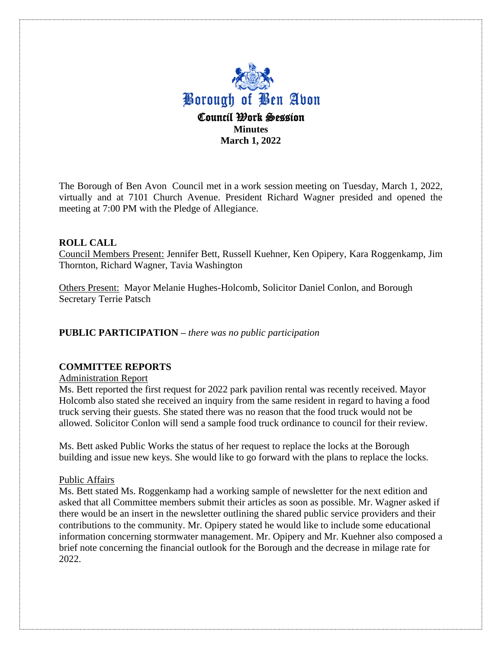

The Borough of Ben Avon Council met in a work session meeting on Tuesday, March 1, 2022, virtually and at 7101 Church Avenue. President Richard Wagner presided and opened the meeting at 7:00 PM with the Pledge of Allegiance.

## **ROLL CALL**

Council Members Present: Jennifer Bett, Russell Kuehner, Ken Opipery, Kara Roggenkamp, Jim Thornton, Richard Wagner, Tavia Washington

Others Present: Mayor Melanie Hughes-Holcomb, Solicitor Daniel Conlon, and Borough Secretary Terrie Patsch

### **PUBLIC PARTICIPATION –** *there was no public participation*

#### **COMMITTEE REPORTS**

Administration Report

Ms. Bett reported the first request for 2022 park pavilion rental was recently received. Mayor Holcomb also stated she received an inquiry from the same resident in regard to having a food truck serving their guests. She stated there was no reason that the food truck would not be allowed. Solicitor Conlon will send a sample food truck ordinance to council for their review.

Ms. Bett asked Public Works the status of her request to replace the locks at the Borough building and issue new keys. She would like to go forward with the plans to replace the locks.

#### Public Affairs

Ms. Bett stated Ms. Roggenkamp had a working sample of newsletter for the next edition and asked that all Committee members submit their articles as soon as possible. Mr. Wagner asked if there would be an insert in the newsletter outlining the shared public service providers and their contributions to the community. Mr. Opipery stated he would like to include some educational information concerning stormwater management. Mr. Opipery and Mr. Kuehner also composed a brief note concerning the financial outlook for the Borough and the decrease in milage rate for 2022.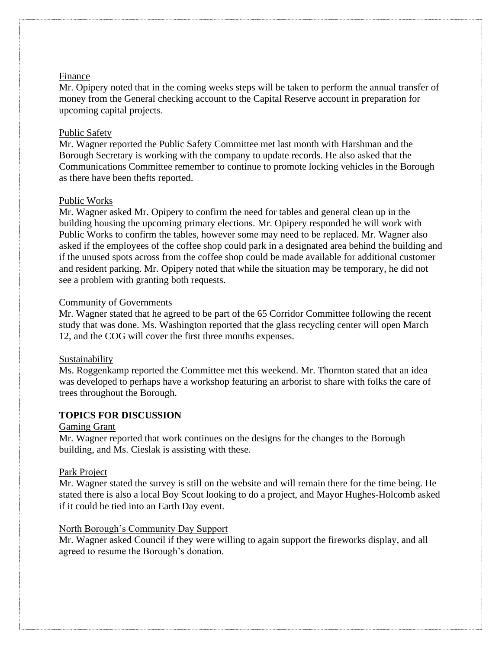## Finance

Mr. Opipery noted that in the coming weeks steps will be taken to perform the annual transfer of money from the General checking account to the Capital Reserve account in preparation for upcoming capital projects.

## Public Safety

Mr. Wagner reported the Public Safety Committee met last month with Harshman and the Borough Secretary is working with the company to update records. He also asked that the Communications Committee remember to continue to promote locking vehicles in the Borough as there have been thefts reported.

## Public Works

Mr. Wagner asked Mr. Opipery to confirm the need for tables and general clean up in the building housing the upcoming primary elections. Mr. Opipery responded he will work with Public Works to confirm the tables, however some may need to be replaced. Mr. Wagner also asked if the employees of the coffee shop could park in a designated area behind the building and if the unused spots across from the coffee shop could be made available for additional customer and resident parking. Mr. Opipery noted that while the situation may be temporary, he did not see a problem with granting both requests.

## Community of Governments

Mr. Wagner stated that he agreed to be part of the 65 Corridor Committee following the recent study that was done. Ms. Washington reported that the glass recycling center will open March 12, and the COG will cover the first three months expenses.

#### Sustainability

Ms. Roggenkamp reported the Committee met this weekend. Mr. Thornton stated that an idea was developed to perhaps have a workshop featuring an arborist to share with folks the care of trees throughout the Borough.

# **TOPICS FOR DISCUSSION**

#### Gaming Grant

Mr. Wagner reported that work continues on the designs for the changes to the Borough building, and Ms. Cieslak is assisting with these.

#### Park Project

Mr. Wagner stated the survey is still on the website and will remain there for the time being. He stated there is also a local Boy Scout looking to do a project, and Mayor Hughes-Holcomb asked if it could be tied into an Earth Day event.

# North Borough's Community Day Support

Mr. Wagner asked Council if they were willing to again support the fireworks display, and all agreed to resume the Borough's donation.